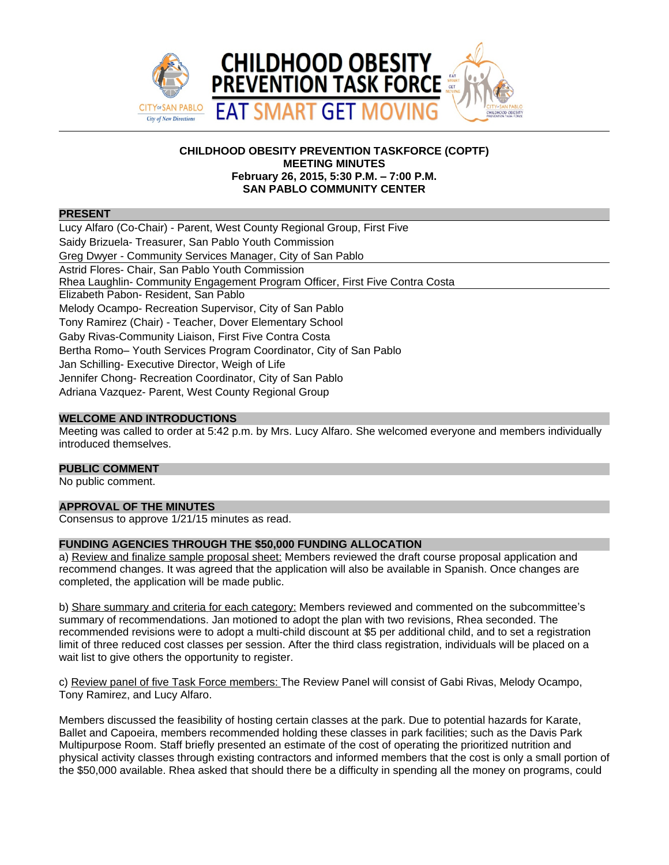

# **CHILDHOOD OBESITY PREVENTION TASKFORCE (COPTF) MEETING MINUTES February 26, 2015, 5:30 P.M. – 7:00 P.M. SAN PABLO COMMUNITY CENTER**

#### **PRESENT**

Lucy Alfaro (Co-Chair) - Parent, West County Regional Group, First Five Saidy Brizuela- Treasurer, San Pablo Youth Commission Greg Dwyer - Community Services Manager, City of San Pablo Astrid Flores- Chair, San Pablo Youth Commission Rhea Laughlin- Community Engagement Program Officer, First Five Contra Costa Elizabeth Pabon- Resident, San Pablo Melody Ocampo- Recreation Supervisor, City of San Pablo Tony Ramirez (Chair) - Teacher, Dover Elementary School Gaby Rivas-Community Liaison, First Five Contra Costa Bertha Romo– Youth Services Program Coordinator, City of San Pablo Jan Schilling- Executive Director, Weigh of Life Jennifer Chong- Recreation Coordinator, City of San Pablo Adriana Vazquez- Parent, West County Regional Group

# **WELCOME AND INTRODUCTIONS**

Meeting was called to order at 5:42 p.m. by Mrs. Lucy Alfaro. She welcomed everyone and members individually introduced themselves.

# **PUBLIC COMMENT**

No public comment.

# **APPROVAL OF THE MINUTES**

Consensus to approve 1/21/15 minutes as read.

# **FUNDING AGENCIES THROUGH THE \$50,000 FUNDING ALLOCATION**

a) Review and finalize sample proposal sheet: Members reviewed the draft course proposal application and recommend changes. It was agreed that the application will also be available in Spanish. Once changes are completed, the application will be made public.

b) Share summary and criteria for each category: Members reviewed and commented on the subcommittee's summary of recommendations. Jan motioned to adopt the plan with two revisions, Rhea seconded. The recommended revisions were to adopt a multi-child discount at \$5 per additional child, and to set a registration limit of three reduced cost classes per session. After the third class registration, individuals will be placed on a wait list to give others the opportunity to register.

c) Review panel of five Task Force members: The Review Panel will consist of Gabi Rivas, Melody Ocampo, Tony Ramirez, and Lucy Alfaro.

Members discussed the feasibility of hosting certain classes at the park. Due to potential hazards for Karate, Ballet and Capoeira, members recommended holding these classes in park facilities; such as the Davis Park Multipurpose Room. Staff briefly presented an estimate of the cost of operating the prioritized nutrition and physical activity classes through existing contractors and informed members that the cost is only a small portion of the \$50,000 available. Rhea asked that should there be a difficulty in spending all the money on programs, could